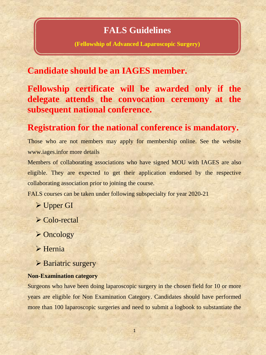# **FALS Guidelines**

**(Fellowship of Advanced Laparoscopic Surgery)**

# **Candidate should be an IAGES member.**

**Fellowship certificate will be awarded only if the delegate attends the convocation ceremony at the subsequent national conference.**

# **Registration for the national conference is mandatory.**

Those who are not members may apply for membership online. See the website www.iages.infor more details

Members of collaborating associations who have signed MOU with IAGES are also eligible. They are expected to get their application endorsed by the respective collaborating association prior to joining the course.

FALS courses can be taken under following subspecialty for year 2020-21

- Upper GI
- Colo-rectal
- **≻ Oncology**
- $\triangleright$  Hernia
- $\triangleright$  Bariatric surgery

## **Non-Examination category**

Surgeons who have been doing laparoscopic surgery in the chosen field for 10 or more years are eligible for Non Examination Category. Candidates should have performed more than 100 laparoscopic surgeries and need to submit a logbook to substantiate the